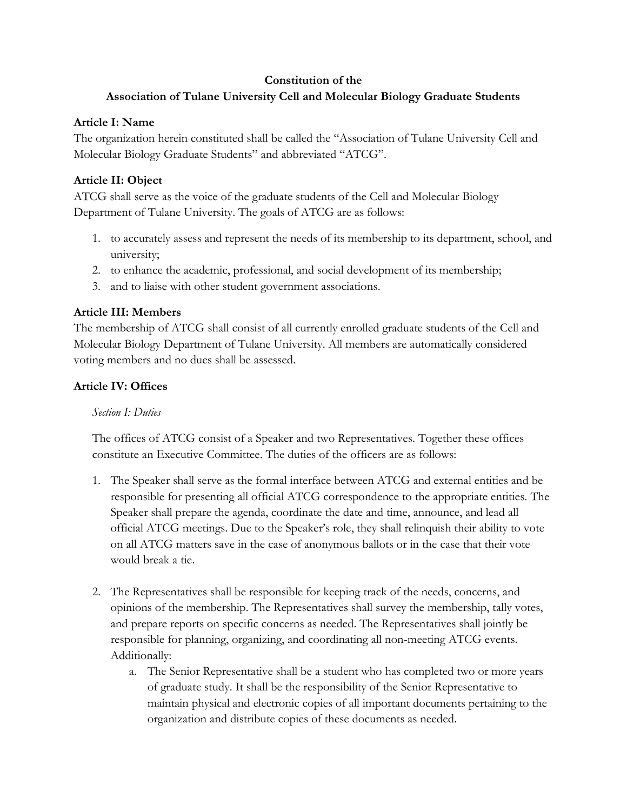#### **Constitution of the**

# **Association of Tulane University Cell and Molecular Biology Graduate Students**

#### **Article I: Name**

The organization herein constituted shall be called the "Association of Tulane University Cell and Molecular Biology Graduate Students" and abbreviated "ATCG".

## **Article II: Object**

ATCG shall serve as the voice of the graduate students of the Cell and Molecular Biology Department of Tulane University. The goals of ATCG are as follows:

- 1. to accurately assess and represent the needs of its membership to its department, school, and university;
- 2. to enhance the academic, professional, and social development of its membership;
- 3. and to liaise with other student government associations.

## **Article III: Members**

The membership of ATCG shall consist of all currently enrolled graduate students of the Cell and Molecular Biology Department of Tulane University. All members are automatically considered voting members and no dues shall be assessed.

## **Article IV: Offices**

### *Section I: Duties*

The offices of ATCG consist of a Speaker and two Representatives. Together these offices constitute an Executive Committee. The duties of the officers are as follows:

- 1. The Speaker shall serve as the formal interface between ATCG and external entities and be responsible for presenting all official ATCG correspondence to the appropriate entities. The Speaker shall prepare the agenda, coordinate the date and time, announce, and lead all official ATCG meetings. Due to the Speaker's role, they shall relinquish their ability to vote on all ATCG matters save in the case of anonymous ballots or in the case that their vote would break a tie.
- 2. The Representatives shall be responsible for keeping track of the needs, concerns, and opinions of the membership. The Representatives shall survey the membership, tally votes, and prepare reports on specific concerns as needed. The Representatives shall jointly be responsible for planning, organizing, and coordinating all non-meeting ATCG events. Additionally:
	- a. The Senior Representative shall be a student who has completed two or more years of graduate study. It shall be the responsibility of the Senior Representative to maintain physical and electronic copies of all important documents pertaining to the organization and distribute copies of these documents as needed.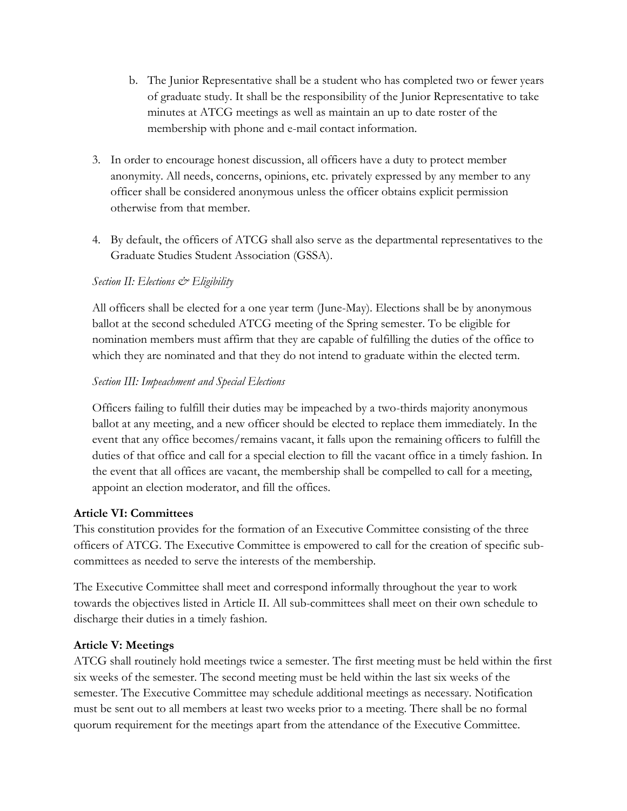- b. The Junior Representative shall be a student who has completed two or fewer years of graduate study. It shall be the responsibility of the Junior Representative to take minutes at ATCG meetings as well as maintain an up to date roster of the membership with phone and e-mail contact information.
- 3. In order to encourage honest discussion, all officers have a duty to protect member anonymity. All needs, concerns, opinions, etc. privately expressed by any member to any officer shall be considered anonymous unless the officer obtains explicit permission otherwise from that member.
- 4. By default, the officers of ATCG shall also serve as the departmental representatives to the Graduate Studies Student Association (GSSA).

### *Section II: Elections & Eligibility*

All officers shall be elected for a one year term (June-May). Elections shall be by anonymous ballot at the second scheduled ATCG meeting of the Spring semester. To be eligible for nomination members must affirm that they are capable of fulfilling the duties of the office to which they are nominated and that they do not intend to graduate within the elected term.

### *Section III: Impeachment and Special Elections*

Officers failing to fulfill their duties may be impeached by a two-thirds majority anonymous ballot at any meeting, and a new officer should be elected to replace them immediately. In the event that any office becomes/remains vacant, it falls upon the remaining officers to fulfill the duties of that office and call for a special election to fill the vacant office in a timely fashion. In the event that all offices are vacant, the membership shall be compelled to call for a meeting, appoint an election moderator, and fill the offices.

### **Article VI: Committees**

This constitution provides for the formation of an Executive Committee consisting of the three officers of ATCG. The Executive Committee is empowered to call for the creation of specific subcommittees as needed to serve the interests of the membership.

The Executive Committee shall meet and correspond informally throughout the year to work towards the objectives listed in Article II. All sub-committees shall meet on their own schedule to discharge their duties in a timely fashion.

### **Article V: Meetings**

ATCG shall routinely hold meetings twice a semester. The first meeting must be held within the first six weeks of the semester. The second meeting must be held within the last six weeks of the semester. The Executive Committee may schedule additional meetings as necessary. Notification must be sent out to all members at least two weeks prior to a meeting. There shall be no formal quorum requirement for the meetings apart from the attendance of the Executive Committee.